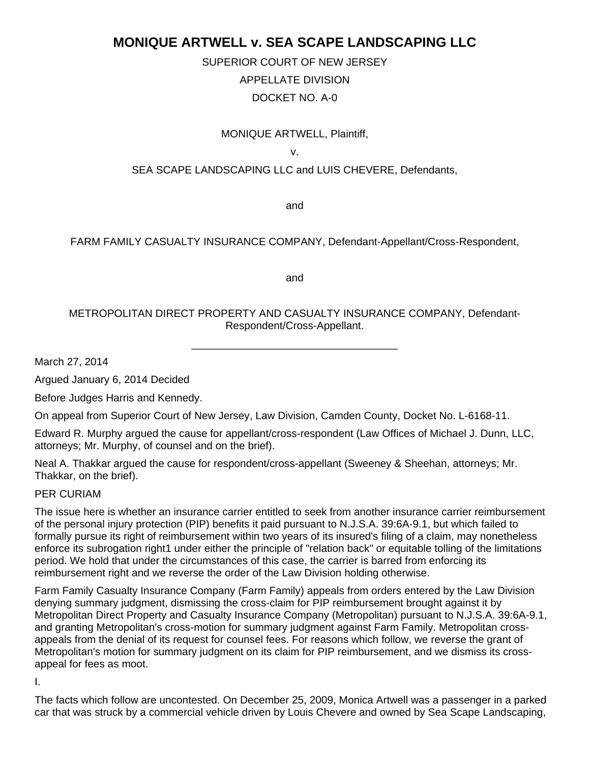# **MONIQUE ARTWELL v. SEA SCAPE LANDSCAPING LLC**

SUPERIOR COURT OF NEW JERSEY APPELLATE DIVISION DOCKET NO. A-0

# MONIQUE ARTWELL, Plaintiff,

v.

## SEA SCAPE LANDSCAPING LLC and LUIS CHEVERE, Defendants,

and

#### FARM FAMILY CASUALTY INSURANCE COMPANY, Defendant-Appellant/Cross-Respondent,

and

## METROPOLITAN DIRECT PROPERTY AND CASUALTY INSURANCE COMPANY, Defendant-Respondent/Cross-Appellant.

\_\_\_\_\_\_\_\_\_\_\_\_\_\_\_\_\_\_\_\_\_\_\_\_\_\_\_\_\_\_\_\_\_\_\_

March 27, 2014

Argued January 6, 2014 Decided

Before Judges Harris and Kennedy.

On appeal from Superior Court of New Jersey, Law Division, Camden County, Docket No. L-6168-11.

Edward R. Murphy argued the cause for appellant/cross-respondent (Law Offices of Michael J. Dunn, LLC, attorneys; Mr. Murphy, of counsel and on the brief).

Neal A. Thakkar argued the cause for respondent/cross-appellant (Sweeney & Sheehan, attorneys; Mr. Thakkar, on the brief).

#### PER CURIAM

The issue here is whether an insurance carrier entitled to seek from another insurance carrier reimbursement of the personal injury protection (PIP) benefits it paid pursuant to N.J.S.A. 39:6A-9.1, but which failed to formally pursue its right of reimbursement within two years of its insured's filing of a claim, may nonetheless enforce its subrogation right1 under either the principle of "relation back" or equitable tolling of the limitations period. We hold that under the circumstances of this case, the carrier is barred from enforcing its reimbursement right and we reverse the order of the Law Division holding otherwise.

Farm Family Casualty Insurance Company (Farm Family) appeals from orders entered by the Law Division denying summary judgment, dismissing the cross-claim for PIP reimbursement brought against it by Metropolitan Direct Property and Casualty Insurance Company (Metropolitan) pursuant to N.J.S.A. 39:6A-9.1, and granting Metropolitan's cross-motion for summary judgment against Farm Family. Metropolitan crossappeals from the denial of its request for counsel fees. For reasons which follow, we reverse the grant of Metropolitan's motion for summary judgment on its claim for PIP reimbursement, and we dismiss its crossappeal for fees as moot.

I.

The facts which follow are uncontested. On December 25, 2009, Monica Artwell was a passenger in a parked car that was struck by a commercial vehicle driven by Louis Chevere and owned by Sea Scape Landscaping,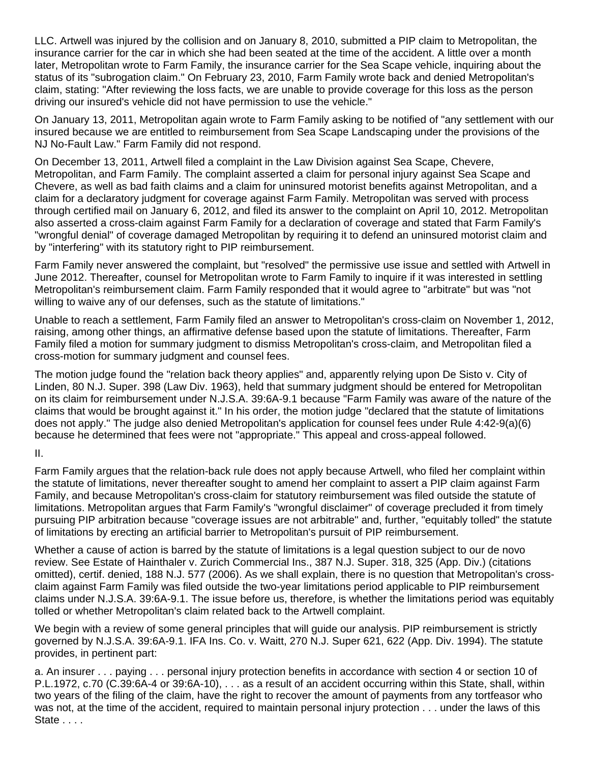LLC. Artwell was injured by the collision and on January 8, 2010, submitted a PIP claim to Metropolitan, the insurance carrier for the car in which she had been seated at the time of the accident. A little over a month later, Metropolitan wrote to Farm Family, the insurance carrier for the Sea Scape vehicle, inquiring about the status of its "subrogation claim." On February 23, 2010, Farm Family wrote back and denied Metropolitan's claim, stating: "After reviewing the loss facts, we are unable to provide coverage for this loss as the person driving our insured's vehicle did not have permission to use the vehicle."

On January 13, 2011, Metropolitan again wrote to Farm Family asking to be notified of "any settlement with our insured because we are entitled to reimbursement from Sea Scape Landscaping under the provisions of the NJ No-Fault Law." Farm Family did not respond.

On December 13, 2011, Artwell filed a complaint in the Law Division against Sea Scape, Chevere, Metropolitan, and Farm Family. The complaint asserted a claim for personal injury against Sea Scape and Chevere, as well as bad faith claims and a claim for uninsured motorist benefits against Metropolitan, and a claim for a declaratory judgment for coverage against Farm Family. Metropolitan was served with process through certified mail on January 6, 2012, and filed its answer to the complaint on April 10, 2012. Metropolitan also asserted a cross-claim against Farm Family for a declaration of coverage and stated that Farm Family's "wrongful denial" of coverage damaged Metropolitan by requiring it to defend an uninsured motorist claim and by "interfering" with its statutory right to PIP reimbursement.

Farm Family never answered the complaint, but "resolved" the permissive use issue and settled with Artwell in June 2012. Thereafter, counsel for Metropolitan wrote to Farm Family to inquire if it was interested in settling Metropolitan's reimbursement claim. Farm Family responded that it would agree to "arbitrate" but was "not willing to waive any of our defenses, such as the statute of limitations."

Unable to reach a settlement, Farm Family filed an answer to Metropolitan's cross-claim on November 1, 2012, raising, among other things, an affirmative defense based upon the statute of limitations. Thereafter, Farm Family filed a motion for summary judgment to dismiss Metropolitan's cross-claim, and Metropolitan filed a cross-motion for summary judgment and counsel fees.

The motion judge found the "relation back theory applies" and, apparently relying upon De Sisto v. City of Linden, 80 N.J. Super. 398 (Law Div. 1963), held that summary judgment should be entered for Metropolitan on its claim for reimbursement under N.J.S.A. 39:6A-9.1 because "Farm Family was aware of the nature of the claims that would be brought against it." In his order, the motion judge "declared that the statute of limitations does not apply." The judge also denied Metropolitan's application for counsel fees under Rule 4:42-9(a)(6) because he determined that fees were not "appropriate." This appeal and cross-appeal followed.

#### II.

Farm Family argues that the relation-back rule does not apply because Artwell, who filed her complaint within the statute of limitations, never thereafter sought to amend her complaint to assert a PIP claim against Farm Family, and because Metropolitan's cross-claim for statutory reimbursement was filed outside the statute of limitations. Metropolitan argues that Farm Family's "wrongful disclaimer" of coverage precluded it from timely pursuing PIP arbitration because "coverage issues are not arbitrable" and, further, "equitably tolled" the statute of limitations by erecting an artificial barrier to Metropolitan's pursuit of PIP reimbursement.

Whether a cause of action is barred by the statute of limitations is a legal question subject to our de novo review. See Estate of Hainthaler v. Zurich Commercial Ins., 387 N.J. Super. 318, 325 (App. Div.) (citations omitted), certif. denied, 188 N.J. 577 (2006). As we shall explain, there is no question that Metropolitan's crossclaim against Farm Family was filed outside the two-year limitations period applicable to PIP reimbursement claims under N.J.S.A. 39:6A-9.1. The issue before us, therefore, is whether the limitations period was equitably tolled or whether Metropolitan's claim related back to the Artwell complaint.

We begin with a review of some general principles that will guide our analysis. PIP reimbursement is strictly governed by N.J.S.A. 39:6A-9.1. IFA Ins. Co. v. Waitt, 270 N.J. Super 621, 622 (App. Div. 1994). The statute provides, in pertinent part:

a. An insurer . . . paying . . . personal injury protection benefits in accordance with section 4 or section 10 of P.L.1972, c.70 (C.39:6A-4 or 39:6A-10), . . . as a result of an accident occurring within this State, shall, within two years of the filing of the claim, have the right to recover the amount of payments from any tortfeasor who was not, at the time of the accident, required to maintain personal injury protection . . . under the laws of this State . . . .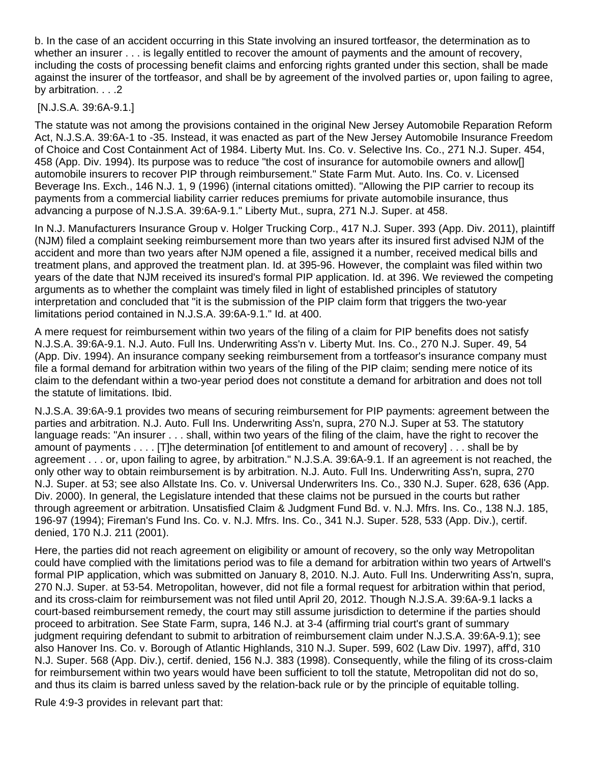b. In the case of an accident occurring in this State involving an insured tortfeasor, the determination as to whether an insurer . . . is legally entitled to recover the amount of payments and the amount of recovery, including the costs of processing benefit claims and enforcing rights granted under this section, shall be made against the insurer of the tortfeasor, and shall be by agreement of the involved parties or, upon failing to agree, by arbitration. . . . 2

# [N.J.S.A. 39:6A-9.1.]

The statute was not among the provisions contained in the original New Jersey Automobile Reparation Reform Act, N.J.S.A. 39:6A-1 to -35. Instead, it was enacted as part of the New Jersey Automobile Insurance Freedom of Choice and Cost Containment Act of 1984. Liberty Mut. Ins. Co. v. Selective Ins. Co., 271 N.J. Super. 454, 458 (App. Div. 1994). Its purpose was to reduce "the cost of insurance for automobile owners and allow[] automobile insurers to recover PIP through reimbursement." State Farm Mut. Auto. Ins. Co. v. Licensed Beverage Ins. Exch., 146 N.J. 1, 9 (1996) (internal citations omitted). "Allowing the PIP carrier to recoup its payments from a commercial liability carrier reduces premiums for private automobile insurance, thus advancing a purpose of N.J.S.A. 39:6A-9.1." Liberty Mut., supra, 271 N.J. Super. at 458.

In N.J. Manufacturers Insurance Group v. Holger Trucking Corp., 417 N.J. Super. 393 (App. Div. 2011), plaintiff (NJM) filed a complaint seeking reimbursement more than two years after its insured first advised NJM of the accident and more than two years after NJM opened a file, assigned it a number, received medical bills and treatment plans, and approved the treatment plan. Id. at 395-96. However, the complaint was filed within two years of the date that NJM received its insured's formal PIP application. Id. at 396. We reviewed the competing arguments as to whether the complaint was timely filed in light of established principles of statutory interpretation and concluded that "it is the submission of the PIP claim form that triggers the two-year limitations period contained in N.J.S.A. 39:6A-9.1." Id. at 400.

A mere request for reimbursement within two years of the filing of a claim for PIP benefits does not satisfy N.J.S.A. 39:6A-9.1. N.J. Auto. Full Ins. Underwriting Ass'n v. Liberty Mut. Ins. Co., 270 N.J. Super. 49, 54 (App. Div. 1994). An insurance company seeking reimbursement from a tortfeasor's insurance company must file a formal demand for arbitration within two years of the filing of the PIP claim; sending mere notice of its claim to the defendant within a two-year period does not constitute a demand for arbitration and does not toll the statute of limitations. Ibid.

N.J.S.A. 39:6A-9.1 provides two means of securing reimbursement for PIP payments: agreement between the parties and arbitration. N.J. Auto. Full Ins. Underwriting Ass'n, supra, 270 N.J. Super at 53. The statutory language reads: "An insurer . . . shall, within two years of the filing of the claim, have the right to recover the amount of payments . . . . [T]he determination [of entitlement to and amount of recovery] . . . shall be by agreement . . . or, upon failing to agree, by arbitration." N.J.S.A. 39:6A-9.1. If an agreement is not reached, the only other way to obtain reimbursement is by arbitration. N.J. Auto. Full Ins. Underwriting Ass'n, supra, 270 N.J. Super. at 53; see also Allstate Ins. Co. v. Universal Underwriters Ins. Co., 330 N.J. Super. 628, 636 (App. Div. 2000). In general, the Legislature intended that these claims not be pursued in the courts but rather through agreement or arbitration. Unsatisfied Claim & Judgment Fund Bd. v. N.J. Mfrs. Ins. Co., 138 N.J. 185, 196-97 (1994); Fireman's Fund Ins. Co. v. N.J. Mfrs. Ins. Co., 341 N.J. Super. 528, 533 (App. Div.), certif. denied, 170 N.J. 211 (2001).

Here, the parties did not reach agreement on eligibility or amount of recovery, so the only way Metropolitan could have complied with the limitations period was to file a demand for arbitration within two years of Artwell's formal PIP application, which was submitted on January 8, 2010. N.J. Auto. Full Ins. Underwriting Ass'n, supra, 270 N.J. Super. at 53-54. Metropolitan, however, did not file a formal request for arbitration within that period, and its cross-claim for reimbursement was not filed until April 20, 2012. Though N.J.S.A. 39:6A-9.1 lacks a court-based reimbursement remedy, the court may still assume jurisdiction to determine if the parties should proceed to arbitration. See State Farm, supra, 146 N.J. at 3-4 (affirming trial court's grant of summary judgment requiring defendant to submit to arbitration of reimbursement claim under N.J.S.A. 39:6A-9.1); see also Hanover Ins. Co. v. Borough of Atlantic Highlands, 310 N.J. Super. 599, 602 (Law Div. 1997), aff'd, 310 N.J. Super. 568 (App. Div.), certif. denied, 156 N.J. 383 (1998). Consequently, while the filing of its cross-claim for reimbursement within two years would have been sufficient to toll the statute, Metropolitan did not do so, and thus its claim is barred unless saved by the relation-back rule or by the principle of equitable tolling.

Rule 4:9-3 provides in relevant part that: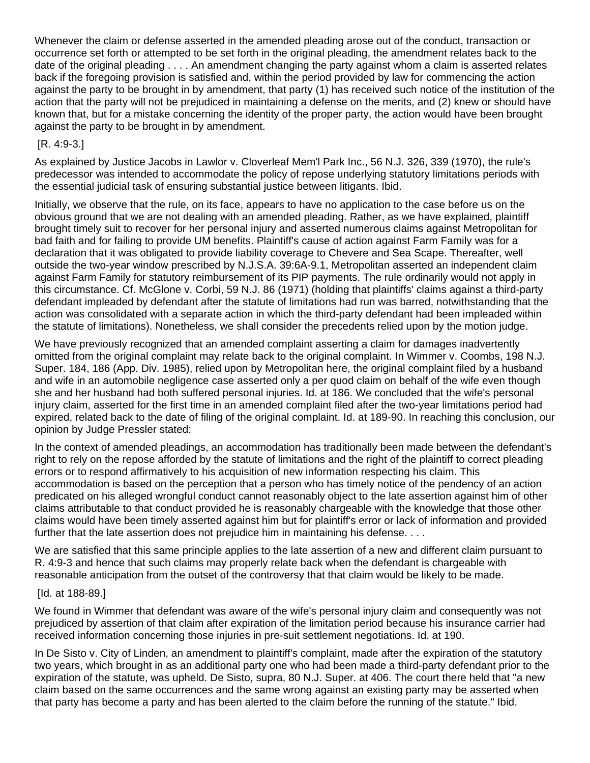Whenever the claim or defense asserted in the amended pleading arose out of the conduct, transaction or occurrence set forth or attempted to be set forth in the original pleading, the amendment relates back to the date of the original pleading . . . . An amendment changing the party against whom a claim is asserted relates back if the foregoing provision is satisfied and, within the period provided by law for commencing the action against the party to be brought in by amendment, that party (1) has received such notice of the institution of the action that the party will not be prejudiced in maintaining a defense on the merits, and (2) knew or should have known that, but for a mistake concerning the identity of the proper party, the action would have been brought against the party to be brought in by amendment.

# [R. 4:9-3.]

As explained by Justice Jacobs in Lawlor v. Cloverleaf Mem'l Park Inc., 56 N.J. 326, 339 (1970), the rule's predecessor was intended to accommodate the policy of repose underlying statutory limitations periods with the essential judicial task of ensuring substantial justice between litigants. Ibid.

Initially, we observe that the rule, on its face, appears to have no application to the case before us on the obvious ground that we are not dealing with an amended pleading. Rather, as we have explained, plaintiff brought timely suit to recover for her personal injury and asserted numerous claims against Metropolitan for bad faith and for failing to provide UM benefits. Plaintiff's cause of action against Farm Family was for a declaration that it was obligated to provide liability coverage to Chevere and Sea Scape. Thereafter, well outside the two-year window prescribed by N.J.S.A. 39:6A-9.1, Metropolitan asserted an independent claim against Farm Family for statutory reimbursement of its PIP payments. The rule ordinarily would not apply in this circumstance. Cf. McGlone v. Corbi, 59 N.J. 86 (1971) (holding that plaintiffs' claims against a third-party defendant impleaded by defendant after the statute of limitations had run was barred, notwithstanding that the action was consolidated with a separate action in which the third-party defendant had been impleaded within the statute of limitations). Nonetheless, we shall consider the precedents relied upon by the motion judge.

We have previously recognized that an amended complaint asserting a claim for damages inadvertently omitted from the original complaint may relate back to the original complaint. In Wimmer v. Coombs, 198 N.J. Super. 184, 186 (App. Div. 1985), relied upon by Metropolitan here, the original complaint filed by a husband and wife in an automobile negligence case asserted only a per quod claim on behalf of the wife even though she and her husband had both suffered personal injuries. Id. at 186. We concluded that the wife's personal injury claim, asserted for the first time in an amended complaint filed after the two-year limitations period had expired, related back to the date of filing of the original complaint. Id. at 189-90. In reaching this conclusion, our opinion by Judge Pressler stated:

In the context of amended pleadings, an accommodation has traditionally been made between the defendant's right to rely on the repose afforded by the statute of limitations and the right of the plaintiff to correct pleading errors or to respond affirmatively to his acquisition of new information respecting his claim. This accommodation is based on the perception that a person who has timely notice of the pendency of an action predicated on his alleged wrongful conduct cannot reasonably object to the late assertion against him of other claims attributable to that conduct provided he is reasonably chargeable with the knowledge that those other claims would have been timely asserted against him but for plaintiff's error or lack of information and provided further that the late assertion does not prejudice him in maintaining his defense. . . .

We are satisfied that this same principle applies to the late assertion of a new and different claim pursuant to R. 4:9-3 and hence that such claims may properly relate back when the defendant is chargeable with reasonable anticipation from the outset of the controversy that that claim would be likely to be made.

# [Id. at 188-89.]

We found in Wimmer that defendant was aware of the wife's personal injury claim and consequently was not prejudiced by assertion of that claim after expiration of the limitation period because his insurance carrier had received information concerning those injuries in pre-suit settlement negotiations. Id. at 190.

In De Sisto v. City of Linden, an amendment to plaintiff's complaint, made after the expiration of the statutory two years, which brought in as an additional party one who had been made a third-party defendant prior to the expiration of the statute, was upheld. De Sisto, supra, 80 N.J. Super. at 406. The court there held that "a new claim based on the same occurrences and the same wrong against an existing party may be asserted when that party has become a party and has been alerted to the claim before the running of the statute." Ibid.